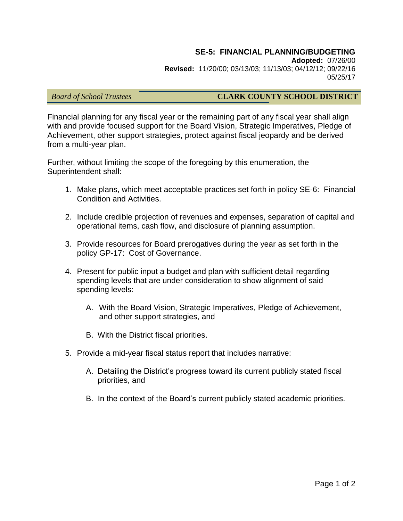### **SE-5: FINANCIAL PLANNING/BUDGETING**

**Adopted:** 07/26/00 **Revised:** 11/20/00; 03/13/03; 11/13/03; 04/12/12; 09/22/16 05/25/17

#### *Board of School Trustees* **CLARK COUNTY SCHOOL DISTRICT**

Financial planning for any fiscal year or the remaining part of any fiscal year shall align with and provide focused support for the Board Vision, Strategic Imperatives, Pledge of Achievement, other support strategies, protect against fiscal jeopardy and be derived from a multi-year plan.

Further, without limiting the scope of the foregoing by this enumeration, the Superintendent shall:

- 1. Make plans, which meet acceptable practices set forth in policy SE-6: Financial Condition and Activities.
- 2. Include credible projection of revenues and expenses, separation of capital and operational items, cash flow, and disclosure of planning assumption.
- 3. Provide resources for Board prerogatives during the year as set forth in the policy GP-17: Cost of Governance.
- 4. Present for public input a budget and plan with sufficient detail regarding spending levels that are under consideration to show alignment of said spending levels:
	- A. With the Board Vision, Strategic Imperatives, Pledge of Achievement, and other support strategies, and
	- B. With the District fiscal priorities.
- 5. Provide a mid-year fiscal status report that includes narrative:
	- A. Detailing the District's progress toward its current publicly stated fiscal priorities, and
	- B. In the context of the Board's current publicly stated academic priorities.